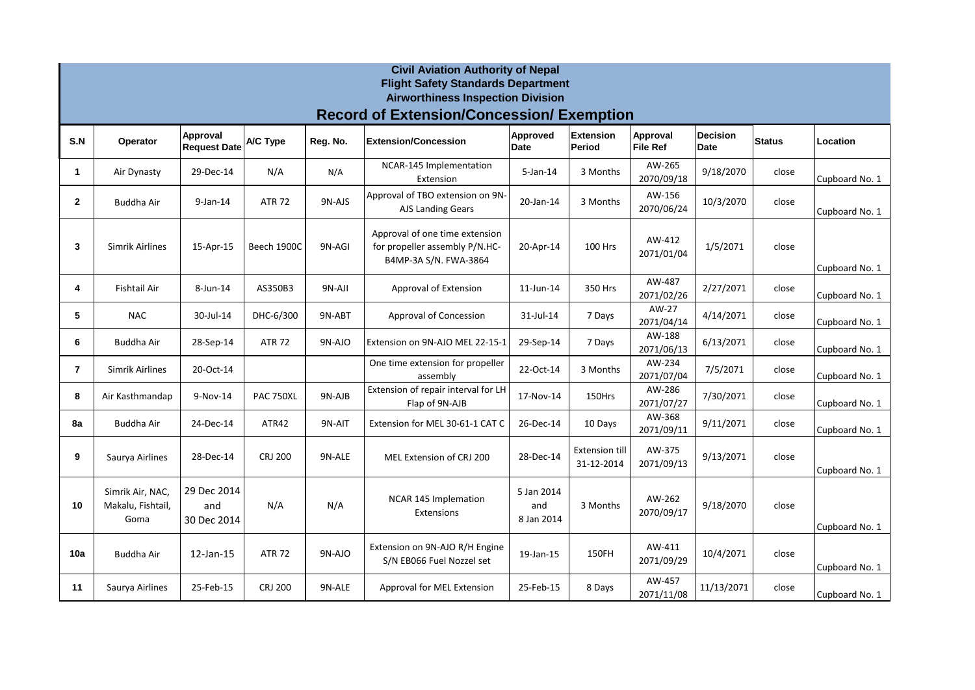|                | <b>Civil Aviation Authority of Nepal</b><br><b>Flight Safety Standards Department</b><br><b>Airworthiness Inspection Division</b> |                                   |                  |          |                                                                                           |                                 |                                     |                             |                                |               |                |  |  |  |  |
|----------------|-----------------------------------------------------------------------------------------------------------------------------------|-----------------------------------|------------------|----------|-------------------------------------------------------------------------------------------|---------------------------------|-------------------------------------|-----------------------------|--------------------------------|---------------|----------------|--|--|--|--|
|                | <b>Record of Extension/Concession/ Exemption</b>                                                                                  |                                   |                  |          |                                                                                           |                                 |                                     |                             |                                |               |                |  |  |  |  |
| S.N            | Operator                                                                                                                          | Approval<br><b>Request Date</b>   | A/C Type         | Reg. No. | <b>Extension/Concession</b>                                                               | Approved<br><b>Date</b>         | <b>Extension</b><br>Period          | Approval<br><b>File Ref</b> | <b>Decision</b><br><b>Date</b> | <b>Status</b> | Location       |  |  |  |  |
| 1              | Air Dynasty                                                                                                                       | 29-Dec-14                         | N/A              | N/A      | NCAR-145 Implementation<br>Extension                                                      | $5$ -Jan-14                     | 3 Months                            | AW-265<br>2070/09/18        | 9/18/2070                      | close         | Cupboard No. 1 |  |  |  |  |
| $\mathbf{2}$   | <b>Buddha Air</b>                                                                                                                 | $9$ -Jan-14                       | <b>ATR 72</b>    | 9N-AJS   | Approval of TBO extension on 9N-<br>AJS Landing Gears                                     | 20-Jan-14                       | 3 Months                            | AW-156<br>2070/06/24        | 10/3/2070                      | close         | Cupboard No. 1 |  |  |  |  |
| 3              | Simrik Airlines                                                                                                                   | 15-Apr-15                         | Beech 1900C      | 9N-AGI   | Approval of one time extension<br>for propeller assembly P/N.HC-<br>B4MP-3A S/N. FWA-3864 | 20-Apr-14                       | 100 Hrs                             | AW-412<br>2071/01/04        | 1/5/2071                       | close         | Cupboard No. 1 |  |  |  |  |
| 4              | <b>Fishtail Air</b>                                                                                                               | 8-Jun-14                          | AS350B3          | 9N-AJI   | Approval of Extension                                                                     | 11-Jun-14                       | 350 Hrs                             | AW-487<br>2071/02/26        | 2/27/2071                      | close         | Cupboard No. 1 |  |  |  |  |
| 5              | <b>NAC</b>                                                                                                                        | 30-Jul-14                         | DHC-6/300        | 9N-ABT   | Approval of Concession                                                                    | 31-Jul-14                       | 7 Days                              | AW-27<br>2071/04/14         | 4/14/2071                      | close         | Cupboard No. 1 |  |  |  |  |
| 6              | Buddha Air                                                                                                                        | 28-Sep-14                         | <b>ATR 72</b>    | 9N-AJO   | Extension on 9N-AJO MEL 22-15-1                                                           | 29-Sep-14                       | 7 Days                              | AW-188<br>2071/06/13        | 6/13/2071                      | close         | Cupboard No. 1 |  |  |  |  |
| $\overline{7}$ | <b>Simrik Airlines</b>                                                                                                            | 20-Oct-14                         |                  |          | One time extension for propeller<br>assembly                                              | 22-Oct-14                       | 3 Months                            | AW-234<br>2071/07/04        | 7/5/2071                       | close         | Cupboard No. 1 |  |  |  |  |
| 8              | Air Kasthmandap                                                                                                                   | 9-Nov-14                          | <b>PAC 750XL</b> | 9N-AJB   | Extension of repair interval for LH<br>Flap of 9N-AJB                                     | 17-Nov-14                       | 150Hrs                              | AW-286<br>2071/07/27        | 7/30/2071                      | close         | Cupboard No. 1 |  |  |  |  |
| 8a             | Buddha Air                                                                                                                        | 24-Dec-14                         | ATR42            | 9N-AIT   | Extension for MEL 30-61-1 CAT C                                                           | 26-Dec-14                       | 10 Days                             | AW-368<br>2071/09/11        | 9/11/2071                      | close         | Cupboard No. 1 |  |  |  |  |
| 9              | Saurya Airlines                                                                                                                   | 28-Dec-14                         | <b>CRJ 200</b>   | 9N-ALE   | MEL Extension of CRJ 200                                                                  | 28-Dec-14                       | <b>Extension till</b><br>31-12-2014 | AW-375<br>2071/09/13        | 9/13/2071                      | close         | Cupboard No. 1 |  |  |  |  |
| 10             | Simrik Air, NAC,<br>Makalu, Fishtail,<br>Goma                                                                                     | 29 Dec 2014<br>and<br>30 Dec 2014 | N/A              | N/A      | NCAR 145 Implemation<br>Extensions                                                        | 5 Jan 2014<br>and<br>8 Jan 2014 | 3 Months                            | AW-262<br>2070/09/17        | 9/18/2070                      | close         | Cupboard No. 1 |  |  |  |  |
| 10a            | Buddha Air                                                                                                                        | 12-Jan-15                         | <b>ATR 72</b>    | 9N-AJO   | Extension on 9N-AJO R/H Engine<br>S/N EB066 Fuel Nozzel set                               | 19-Jan-15                       | 150FH                               | AW-411<br>2071/09/29        | 10/4/2071                      | close         | Cupboard No. 1 |  |  |  |  |
| 11             | Saurya Airlines                                                                                                                   | 25-Feb-15                         | <b>CRJ 200</b>   | 9N-ALE   | Approval for MEL Extension                                                                | 25-Feb-15                       | 8 Days                              | AW-457<br>2071/11/08        | 11/13/2071                     | close         | Cupboard No. 1 |  |  |  |  |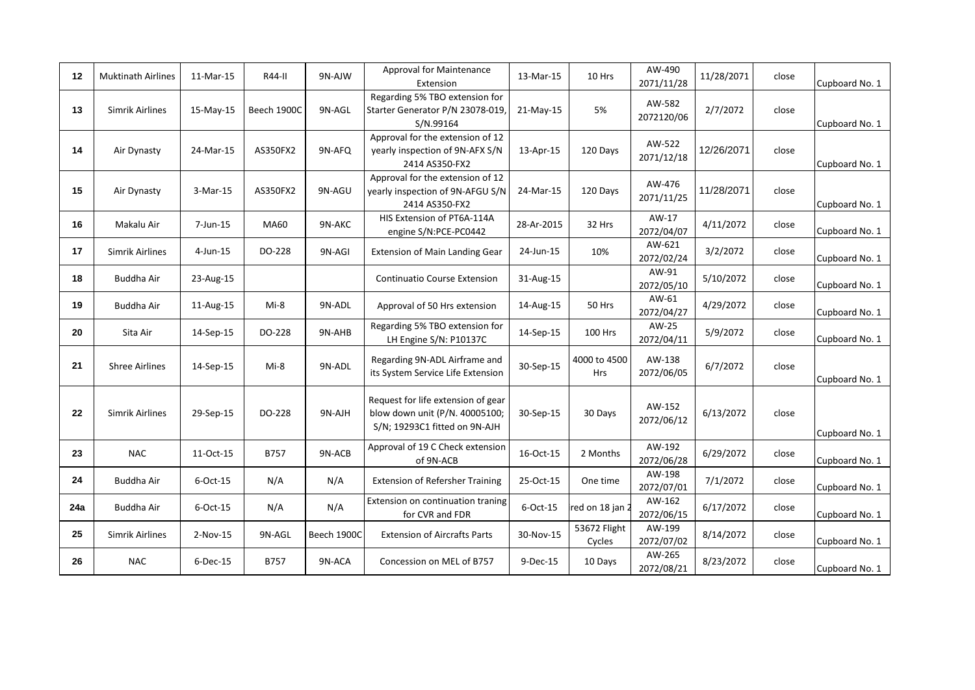| 12  | <b>Muktinath Airlines</b> | 11-Mar-15   | R44-II      | 9N-AJW      | <b>Approval for Maintenance</b><br>Extension                                                          | 13-Mar-15  | 10 Hrs                 | AW-490<br>2071/11/28 | 11/28/2071 | close | Cupboard No. 1 |
|-----|---------------------------|-------------|-------------|-------------|-------------------------------------------------------------------------------------------------------|------------|------------------------|----------------------|------------|-------|----------------|
| 13  | Simrik Airlines           | 15-May-15   | Beech 1900C | 9N-AGL      | Regarding 5% TBO extension for<br>Starter Generator P/N 23078-019,<br>S/N.99164                       | 21-May-15  | 5%                     | AW-582<br>2072120/06 | 2/7/2072   | close | Cupboard No. 1 |
| 14  | Air Dynasty               | 24-Mar-15   | AS350FX2    | 9N-AFQ      | Approval for the extension of 12<br>yearly inspection of 9N-AFX S/N<br>2414 AS350-FX2                 | 13-Apr-15  | 120 Days               | AW-522<br>2071/12/18 | 12/26/2071 | close | Cupboard No. 1 |
| 15  | Air Dynasty               | 3-Mar-15    | AS350FX2    | 9N-AGU      | Approval for the extension of 12<br>yearly inspection of 9N-AFGU S/N<br>2414 AS350-FX2                | 24-Mar-15  | 120 Days               | AW-476<br>2071/11/25 | 11/28/2071 | close | Cupboard No. 1 |
| 16  | Makalu Air                | 7-Jun-15    | MA60        | 9N-AKC      | HIS Extension of PT6A-114A<br>engine S/N:PCE-PC0442                                                   | 28-Ar-2015 | 32 Hrs                 | AW-17<br>2072/04/07  | 4/11/2072  | close | Cupboard No. 1 |
| 17  | Simrik Airlines           | 4-Jun-15    | DO-228      | 9N-AGI      | Extension of Main Landing Gear                                                                        | 24-Jun-15  | 10%                    | AW-621<br>2072/02/24 | 3/2/2072   | close | Cupboard No. 1 |
| 18  | Buddha Air                | 23-Aug-15   |             |             | <b>Continuatio Course Extension</b>                                                                   | 31-Aug-15  |                        | AW-91<br>2072/05/10  | 5/10/2072  | close | Cupboard No. 1 |
| 19  | Buddha Air                | 11-Aug-15   | $Mi-8$      | 9N-ADL      | Approval of 50 Hrs extension                                                                          | 14-Aug-15  | 50 Hrs                 | AW-61<br>2072/04/27  | 4/29/2072  | close | Cupboard No. 1 |
| 20  | Sita Air                  | 14-Sep-15   | DO-228      | 9N-AHB      | Regarding 5% TBO extension for<br>LH Engine S/N: P10137C                                              | 14-Sep-15  | 100 Hrs                | AW-25<br>2072/04/11  | 5/9/2072   | close | Cupboard No. 1 |
| 21  | <b>Shree Airlines</b>     | 14-Sep-15   | Mi-8        | 9N-ADL      | Regarding 9N-ADL Airframe and<br>its System Service Life Extension                                    | 30-Sep-15  | 4000 to 4500<br>Hrs    | AW-138<br>2072/06/05 | 6/7/2072   | close | Cupboard No. 1 |
| 22  | <b>Simrik Airlines</b>    | 29-Sep-15   | DO-228      | 9N-AJH      | Request for life extension of gear<br>blow down unit (P/N. 40005100;<br>S/N; 19293C1 fitted on 9N-AJH | 30-Sep-15  | 30 Days                | AW-152<br>2072/06/12 | 6/13/2072  | close | Cupboard No. 1 |
| 23  | <b>NAC</b>                | 11-Oct-15   | B757        | 9N-ACB      | Approval of 19 C Check extension<br>of 9N-ACB                                                         | 16-Oct-15  | 2 Months               | AW-192<br>2072/06/28 | 6/29/2072  | close | Cupboard No. 1 |
| 24  | Buddha Air                | 6-Oct-15    | N/A         | N/A         | <b>Extension of Refersher Training</b>                                                                | 25-Oct-15  | One time               | AW-198<br>2072/07/01 | 7/1/2072   | close | Cupboard No. 1 |
| 24a | Buddha Air                | 6-Oct-15    | N/A         | N/A         | Extension on continuation traning<br>for CVR and FDR                                                  | 6-Oct-15   | red on 18 jan 2        | AW-162<br>2072/06/15 | 6/17/2072  | close | Cupboard No. 1 |
| 25  | Simrik Airlines           | 2-Nov-15    | 9N-AGL      | Beech 1900C | <b>Extension of Aircrafts Parts</b>                                                                   | 30-Nov-15  | 53672 Flight<br>Cycles | AW-199<br>2072/07/02 | 8/14/2072  | close | Cupboard No. 1 |
| 26  | <b>NAC</b>                | $6$ -Dec-15 | <b>B757</b> | 9N-ACA      | Concession on MEL of B757                                                                             | 9-Dec-15   | 10 Days                | AW-265<br>2072/08/21 | 8/23/2072  | close | Cupboard No. 1 |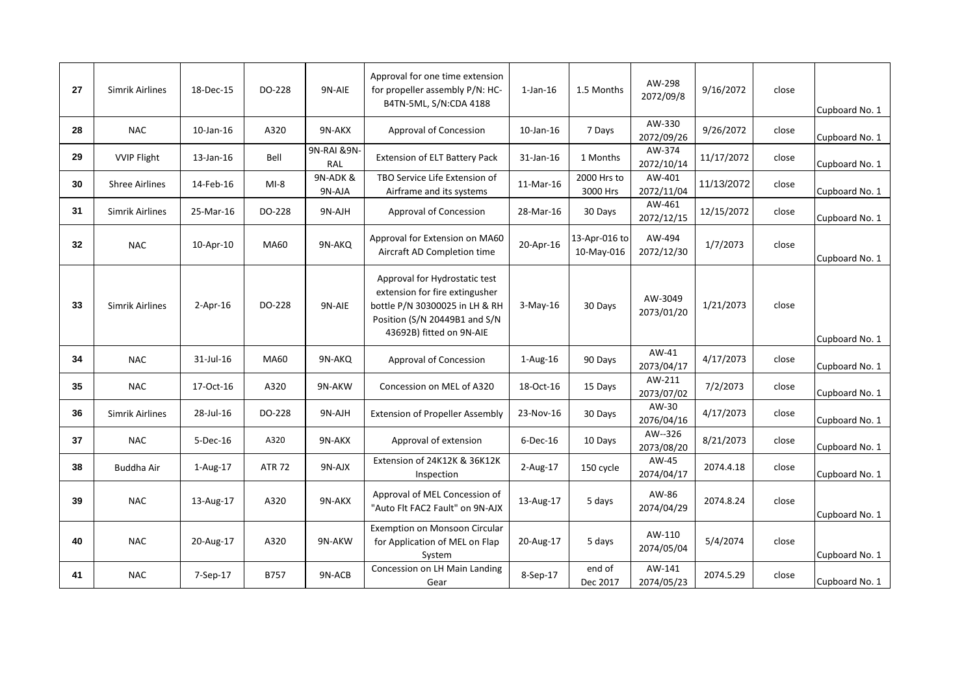| 27 | Simrik Airlines       | 18-Dec-15       | DO-228        | 9N-AIE              | Approval for one time extension<br>for propeller assembly P/N: HC-<br>B4TN-5ML, S/N:CDA 4188                                                                   | $1$ -Jan- $16$ | 1.5 Months                  | AW-298<br>2072/09/8   | 9/16/2072  | close | Cupboard No. 1 |
|----|-----------------------|-----------------|---------------|---------------------|----------------------------------------------------------------------------------------------------------------------------------------------------------------|----------------|-----------------------------|-----------------------|------------|-------|----------------|
| 28 | <b>NAC</b>            | $10$ -Jan- $16$ | A320          | 9N-AKX              | Approval of Concession                                                                                                                                         | 10-Jan-16      | 7 Days                      | AW-330<br>2072/09/26  | 9/26/2072  | close | Cupboard No. 1 |
| 29 | <b>VVIP Flight</b>    | 13-Jan-16       | Bell          | 9N-RAI & 9N-<br>RAL | <b>Extension of ELT Battery Pack</b>                                                                                                                           | 31-Jan-16      | 1 Months                    | AW-374<br>2072/10/14  | 11/17/2072 | close | Cupboard No. 1 |
| 30 | <b>Shree Airlines</b> | 14-Feb-16       | $MI-8$        | 9N-ADK &<br>9N-AJA  | TBO Service Life Extension of<br>Airframe and its systems                                                                                                      | 11-Mar-16      | 2000 Hrs to<br>3000 Hrs     | AW-401<br>2072/11/04  | 11/13/2072 | close | Cupboard No. 1 |
| 31 | Simrik Airlines       | 25-Mar-16       | DO-228        | 9N-AJH              | Approval of Concession                                                                                                                                         | 28-Mar-16      | 30 Days                     | AW-461<br>2072/12/15  | 12/15/2072 | close | Cupboard No. 1 |
| 32 | <b>NAC</b>            | 10-Apr-10       | MA60          | 9N-AKQ              | Approval for Extension on MA60<br>Aircraft AD Completion time                                                                                                  | 20-Apr-16      | 13-Apr-016 to<br>10-May-016 | AW-494<br>2072/12/30  | 1/7/2073   | close | Cupboard No. 1 |
| 33 | Simrik Airlines       | $2-Apr-16$      | DO-228        | 9N-AIE              | Approval for Hydrostatic test<br>extension for fire extingusher<br>bottle P/N 30300025 in LH & RH<br>Position (S/N 20449B1 and S/N<br>43692B) fitted on 9N-AIE | $3-May-16$     | 30 Days                     | AW-3049<br>2073/01/20 | 1/21/2073  | close | Cupboard No. 1 |
| 34 | <b>NAC</b>            | 31-Jul-16       | <b>MA60</b>   | 9N-AKQ              | Approval of Concession                                                                                                                                         | $1-Aug-16$     | 90 Days                     | AW-41<br>2073/04/17   | 4/17/2073  | close | Cupboard No. 1 |
| 35 | <b>NAC</b>            | 17-Oct-16       | A320          | 9N-AKW              | Concession on MEL of A320                                                                                                                                      | 18-Oct-16      | 15 Days                     | AW-211<br>2073/07/02  | 7/2/2073   | close | Cupboard No. 1 |
| 36 | Simrik Airlines       | 28-Jul-16       | DO-228        | 9N-AJH              | <b>Extension of Propeller Assembly</b>                                                                                                                         | 23-Nov-16      | 30 Days                     | AW-30<br>2076/04/16   | 4/17/2073  | close | Cupboard No. 1 |
| 37 | <b>NAC</b>            | $5-Dec-16$      | A320          | 9N-AKX              | Approval of extension                                                                                                                                          | $6$ -Dec-16    | 10 Days                     | AW--326<br>2073/08/20 | 8/21/2073  | close | Cupboard No. 1 |
| 38 | <b>Buddha Air</b>     | $1-Aug-17$      | <b>ATR 72</b> | 9N-AJX              | Extension of 24K12K & 36K12K<br>Inspection                                                                                                                     | 2-Aug-17       | 150 cycle                   | AW-45<br>2074/04/17   | 2074.4.18  | close | Cupboard No. 1 |
| 39 | <b>NAC</b>            | 13-Aug-17       | A320          | 9N-AKX              | Approval of MEL Concession of<br>"Auto Flt FAC2 Fault" on 9N-AJX                                                                                               | 13-Aug-17      | 5 days                      | AW-86<br>2074/04/29   | 2074.8.24  | close | Cupboard No. 1 |
| 40 | <b>NAC</b>            | 20-Aug-17       | A320          | 9N-AKW              | Exemption on Monsoon Circular<br>for Application of MEL on Flap<br>System                                                                                      | 20-Aug-17      | 5 days                      | AW-110<br>2074/05/04  | 5/4/2074   | close | Cupboard No. 1 |
| 41 | <b>NAC</b>            | 7-Sep-17        | <b>B757</b>   | 9N-ACB              | Concession on LH Main Landing<br>Gear                                                                                                                          | 8-Sep-17       | end of<br>Dec 2017          | AW-141<br>2074/05/23  | 2074.5.29  | close | Cupboard No. 1 |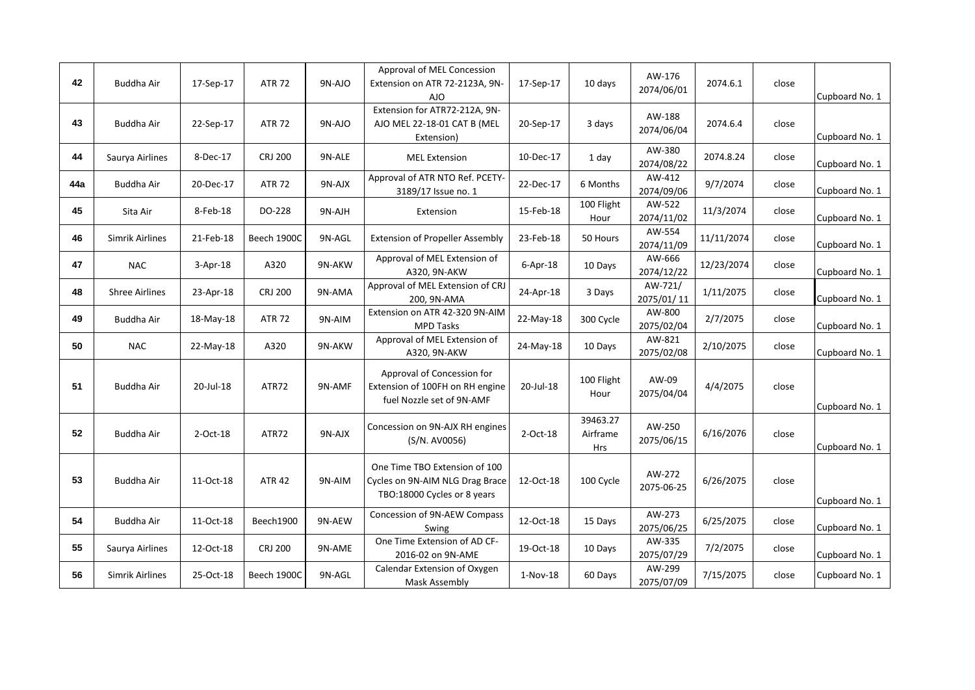| 42  | Buddha Air             | 17-Sep-17   | <b>ATR 72</b>  | 9N-AJO | Approval of MEL Concession<br>Extension on ATR 72-2123A, 9N-<br>AJO                             | 17-Sep-17  | 10 days                     | AW-176<br>2074/06/01  | 2074.6.1   | close | Cupboard No. 1 |
|-----|------------------------|-------------|----------------|--------|-------------------------------------------------------------------------------------------------|------------|-----------------------------|-----------------------|------------|-------|----------------|
| 43  | Buddha Air             | 22-Sep-17   | <b>ATR 72</b>  | 9N-AJO | Extension for ATR72-212A, 9N-<br>AJO MEL 22-18-01 CAT B (MEL<br>Extension)                      | 20-Sep-17  | 3 days                      | AW-188<br>2074/06/04  | 2074.6.4   | close | Cupboard No. 1 |
| 44  | Saurya Airlines        | 8-Dec-17    | <b>CRJ 200</b> | 9N-ALE | <b>MEL Extension</b>                                                                            | 10-Dec-17  | 1 day                       | AW-380<br>2074/08/22  | 2074.8.24  | close | Cupboard No. 1 |
| 44a | Buddha Air             | 20-Dec-17   | <b>ATR 72</b>  | 9N-AJX | Approval of ATR NTO Ref. PCETY-<br>3189/17 Issue no. 1                                          | 22-Dec-17  | 6 Months                    | AW-412<br>2074/09/06  | 9/7/2074   | close | Cupboard No. 1 |
| 45  | Sita Air               | 8-Feb-18    | DO-228         | 9N-AJH | Extension                                                                                       | 15-Feb-18  | 100 Flight<br>Hour          | AW-522<br>2074/11/02  | 11/3/2074  | close | Cupboard No. 1 |
| 46  | <b>Simrik Airlines</b> | 21-Feb-18   | Beech 1900C    | 9N-AGL | <b>Extension of Propeller Assembly</b>                                                          | 23-Feb-18  | 50 Hours                    | AW-554<br>2074/11/09  | 11/11/2074 | close | Cupboard No. 1 |
| 47  | <b>NAC</b>             | $3-Apr-18$  | A320           | 9N-AKW | Approval of MEL Extension of<br>A320, 9N-AKW                                                    | 6-Apr-18   | 10 Days                     | AW-666<br>2074/12/22  | 12/23/2074 | close | Cupboard No. 1 |
| 48  | <b>Shree Airlines</b>  | 23-Apr-18   | <b>CRJ 200</b> | 9N-AMA | Approval of MEL Extension of CRJ<br>200, 9N-AMA                                                 | 24-Apr-18  | 3 Days                      | AW-721/<br>2075/01/11 | 1/11/2075  | close | Cupboard No. 1 |
| 49  | Buddha Air             | 18-May-18   | <b>ATR 72</b>  | 9N-AIM | Extension on ATR 42-320 9N-AIM<br><b>MPD Tasks</b>                                              | 22-May-18  | 300 Cycle                   | AW-800<br>2075/02/04  | 2/7/2075   | close | Cupboard No. 1 |
| 50  | <b>NAC</b>             | 22-May-18   | A320           | 9N-AKW | Approval of MEL Extension of<br>A320, 9N-AKW                                                    | 24-May-18  | 10 Days                     | AW-821<br>2075/02/08  | 2/10/2075  | close | Cupboard No. 1 |
| 51  | Buddha Air             | 20-Jul-18   | ATR72          | 9N-AMF | Approval of Concession for<br>Extension of 100FH on RH engine<br>fuel Nozzle set of 9N-AMF      | 20-Jul-18  | 100 Flight<br>Hour          | AW-09<br>2075/04/04   | 4/4/2075   | close | Cupboard No. 1 |
| 52  | Buddha Air             | $2$ -Oct-18 | ATR72          | 9N-AJX | Concession on 9N-AJX RH engines<br>(S/N. AV0056)                                                | 2-Oct-18   | 39463.27<br>Airframe<br>Hrs | AW-250<br>2075/06/15  | 6/16/2076  | close | Cupboard No. 1 |
| 53  | <b>Buddha Air</b>      | 11-Oct-18   | <b>ATR 42</b>  | 9N-AIM | One Time TBO Extension of 100<br>Cycles on 9N-AIM NLG Drag Brace<br>TBO:18000 Cycles or 8 years | 12-Oct-18  | 100 Cycle                   | AW-272<br>2075-06-25  | 6/26/2075  | close | Cupboard No. 1 |
| 54  | Buddha Air             | 11-Oct-18   | Beech1900      | 9N-AEW | Concession of 9N-AEW Compass<br>Swing                                                           | 12-Oct-18  | 15 Days                     | AW-273<br>2075/06/25  | 6/25/2075  | close | Cupboard No. 1 |
| 55  | Saurya Airlines        | 12-Oct-18   | <b>CRJ 200</b> | 9N-AME | One Time Extension of AD CF-<br>2016-02 on 9N-AME                                               | 19-Oct-18  | 10 Days                     | AW-335<br>2075/07/29  | 7/2/2075   | close | Cupboard No. 1 |
| 56  | Simrik Airlines        | 25-Oct-18   | Beech 1900C    | 9N-AGL | Calendar Extension of Oxygen<br>Mask Assembly                                                   | $1-Nov-18$ | 60 Days                     | AW-299<br>2075/07/09  | 7/15/2075  | close | Cupboard No. 1 |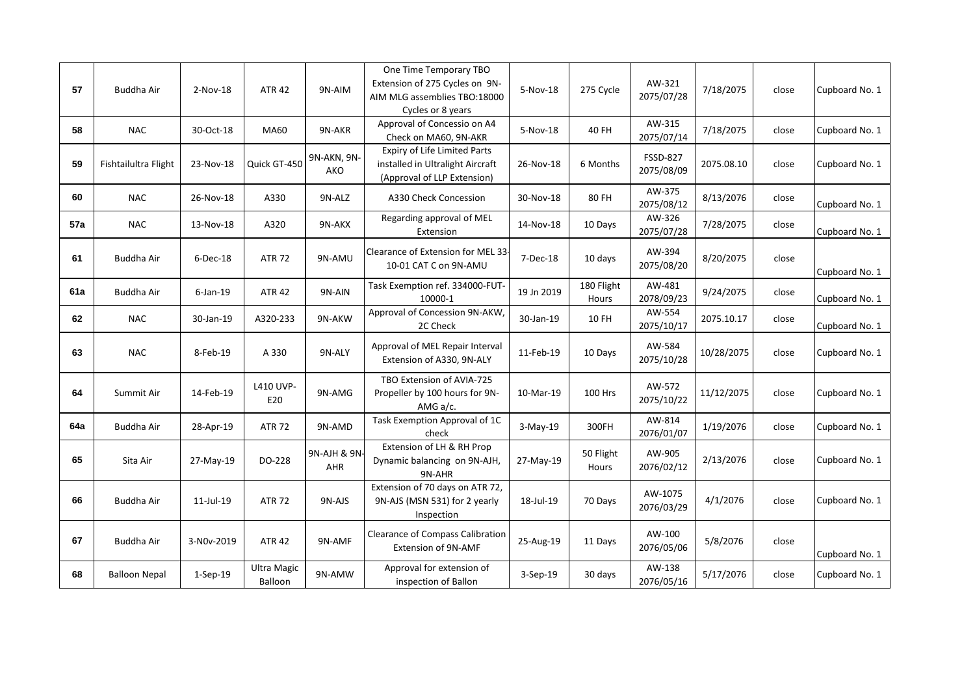|     |                      |             |                               |                     | One Time Temporary TBO<br>Extension of 275 Cycles on 9N-                                        |            |                     | AW-321                        |            |       |                |
|-----|----------------------|-------------|-------------------------------|---------------------|-------------------------------------------------------------------------------------------------|------------|---------------------|-------------------------------|------------|-------|----------------|
| 57  | Buddha Air           | 2-Nov-18    | <b>ATR 42</b>                 | 9N-AIM              | AIM MLG assemblies TBO:18000<br>Cycles or 8 years                                               | 5-Nov-18   | 275 Cycle           | 2075/07/28                    | 7/18/2075  | close | Cupboard No. 1 |
| 58  | <b>NAC</b>           | 30-Oct-18   | <b>MA60</b>                   | 9N-AKR              | Approval of Concessio on A4<br>Check on MA60, 9N-AKR                                            | 5-Nov-18   | 40 FH               | AW-315<br>2075/07/14          | 7/18/2075  | close | Cupboard No. 1 |
| 59  | Fishtailultra Flight | 23-Nov-18   | Quick GT-450                  | 9N-AKN, 9N-<br>AKO  | Expiry of Life Limited Parts<br>installed in Ultralight Aircraft<br>(Approval of LLP Extension) | 26-Nov-18  | 6 Months            | <b>FSSD-827</b><br>2075/08/09 | 2075.08.10 | close | Cupboard No. 1 |
| 60  | <b>NAC</b>           | 26-Nov-18   | A330                          | 9N-ALZ              | A330 Check Concession                                                                           | 30-Nov-18  | 80 FH               | AW-375<br>2075/08/12          | 8/13/2076  | close | Cupboard No. 1 |
| 57a | <b>NAC</b>           | 13-Nov-18   | A320                          | 9N-AKX              | Regarding approval of MEL<br>Extension                                                          | 14-Nov-18  | 10 Days             | AW-326<br>2075/07/28          | 7/28/2075  | close | Cupboard No. 1 |
| 61  | Buddha Air           | 6-Dec-18    | <b>ATR 72</b>                 | 9N-AMU              | Clearance of Extension for MEL 33-<br>10-01 CAT C on 9N-AMU                                     | 7-Dec-18   | 10 days             | AW-394<br>2075/08/20          | 8/20/2075  | close | Cupboard No. 1 |
| 61a | Buddha Air           | $6$ -Jan-19 | <b>ATR 42</b>                 | 9N-AIN              | Task Exemption ref. 334000-FUT-<br>10000-1                                                      | 19 Jn 2019 | 180 Flight<br>Hours | AW-481<br>2078/09/23          | 9/24/2075  | close | Cupboard No. 1 |
| 62  | <b>NAC</b>           | 30-Jan-19   | A320-233                      | 9N-AKW              | Approval of Concession 9N-AKW,<br>2C Check                                                      | 30-Jan-19  | 10 FH               | AW-554<br>2075/10/17          | 2075.10.17 | close | Cupboard No. 1 |
| 63  | <b>NAC</b>           | 8-Feb-19    | A 330                         | 9N-ALY              | Approval of MEL Repair Interval<br>Extension of A330, 9N-ALY                                    | 11-Feb-19  | 10 Days             | AW-584<br>2075/10/28          | 10/28/2075 | close | Cupboard No. 1 |
| 64  | Summit Air           | 14-Feb-19   | L410 UVP-<br>E20              | 9N-AMG              | TBO Extension of AVIA-725<br>Propeller by 100 hours for 9N-<br>AMG $a/c$ .                      | 10-Mar-19  | <b>100 Hrs</b>      | AW-572<br>2075/10/22          | 11/12/2075 | close | Cupboard No. 1 |
| 64a | Buddha Air           | 28-Apr-19   | <b>ATR 72</b>                 | 9N-AMD              | Task Exemption Approval of 1C<br>check                                                          | $3-Mav-19$ | 300FH               | AW-814<br>2076/01/07          | 1/19/2076  | close | Cupboard No. 1 |
| 65  | Sita Air             | 27-May-19   | DO-228                        | 9N-AJH & 9N-<br>AHR | Extension of LH & RH Prop<br>Dynamic balancing on 9N-AJH,<br>9N-AHR                             | 27-May-19  | 50 Flight<br>Hours  | AW-905<br>2076/02/12          | 2/13/2076  | close | Cupboard No. 1 |
| 66  | Buddha Air           | 11-Jul-19   | <b>ATR 72</b>                 | 9N-AJS              | Extension of 70 days on ATR 72,<br>9N-AJS (MSN 531) for 2 yearly<br>Inspection                  | 18-Jul-19  | 70 Days             | AW-1075<br>2076/03/29         | 4/1/2076   | close | Cupboard No. 1 |
| 67  | Buddha Air           | 3-N0v-2019  | <b>ATR 42</b>                 | 9N-AMF              | <b>Clearance of Compass Calibration</b><br>Extension of 9N-AMF                                  | 25-Aug-19  | 11 Days             | AW-100<br>2076/05/06          | 5/8/2076   | close | Cupboard No. 1 |
| 68  | <b>Balloon Nepal</b> | $1-Sep-19$  | <b>Ultra Magic</b><br>Balloon | 9N-AMW              | Approval for extension of<br>inspection of Ballon                                               | 3-Sep-19   | 30 days             | AW-138<br>2076/05/16          | 5/17/2076  | close | Cupboard No. 1 |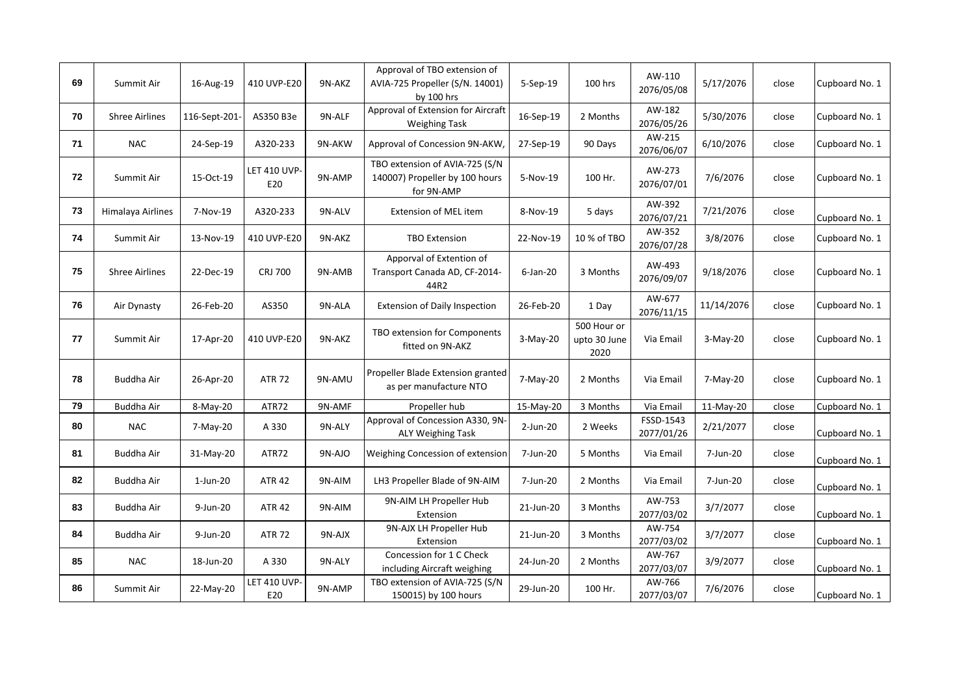| 69 | Summit Air            | 16-Aug-19     | 410 UVP-E20                | 9N-AKZ | Approval of TBO extension of<br>AVIA-725 Propeller (S/N. 14001)<br>by 100 hrs  | 5-Sep-19    | 100 hrs                             | AW-110<br>2076/05/08    | 5/17/2076  | close | Cupboard No. 1 |
|----|-----------------------|---------------|----------------------------|--------|--------------------------------------------------------------------------------|-------------|-------------------------------------|-------------------------|------------|-------|----------------|
| 70 | <b>Shree Airlines</b> | 116-Sept-201- | AS350 B3e                  | 9N-ALF | Approval of Extension for Aircraft<br><b>Weighing Task</b>                     | 16-Sep-19   | 2 Months                            | AW-182<br>2076/05/26    | 5/30/2076  | close | Cupboard No. 1 |
| 71 | <b>NAC</b>            | 24-Sep-19     | A320-233                   | 9N-AKW | Approval of Concession 9N-AKW,                                                 | 27-Sep-19   | 90 Days                             | AW-215<br>2076/06/07    | 6/10/2076  | close | Cupboard No. 1 |
| 72 | Summit Air            | 15-Oct-19     | LET 410 UVP-<br>E20        | 9N-AMP | TBO extension of AVIA-725 (S/N<br>140007) Propeller by 100 hours<br>for 9N-AMP | 5-Nov-19    | 100 Hr.                             | AW-273<br>2076/07/01    | 7/6/2076   | close | Cupboard No. 1 |
| 73 | Himalaya Airlines     | 7-Nov-19      | A320-233                   | 9N-ALV | <b>Extension of MEL item</b>                                                   | 8-Nov-19    | 5 days                              | AW-392<br>2076/07/21    | 7/21/2076  | close | Cupboard No. 1 |
| 74 | Summit Air            | 13-Nov-19     | 410 UVP-E20                | 9N-AKZ | <b>TBO Extension</b>                                                           | 22-Nov-19   | 10 % of TBO                         | AW-352<br>2076/07/28    | 3/8/2076   | close | Cupboard No. 1 |
| 75 | <b>Shree Airlines</b> | 22-Dec-19     | <b>CRJ 700</b>             | 9N-AMB | Apporval of Extention of<br>Transport Canada AD, CF-2014-<br>44R2              | $6$ -Jan-20 | 3 Months                            | AW-493<br>2076/09/07    | 9/18/2076  | close | Cupboard No. 1 |
| 76 | Air Dynasty           | 26-Feb-20     | AS350                      | 9N-ALA | <b>Extension of Daily Inspection</b>                                           | 26-Feb-20   | 1 Day                               | AW-677<br>2076/11/15    | 11/14/2076 | close | Cupboard No. 1 |
| 77 | Summit Air            | 17-Apr-20     | 410 UVP-E20                | 9N-AKZ | TBO extension for Components<br>fitted on 9N-AKZ                               | $3-May-20$  | 500 Hour or<br>upto 30 June<br>2020 | Via Email               | 3-May-20   | close | Cupboard No. 1 |
| 78 | Buddha Air            | 26-Apr-20     | <b>ATR 72</b>              | 9N-AMU | Propeller Blade Extension granted<br>as per manufacture NTO                    | 7-May-20    | 2 Months                            | Via Email               | 7-May-20   | close | Cupboard No. 1 |
| 79 | Buddha Air            | 8-May-20      | ATR72                      | 9N-AMF | Propeller hub                                                                  | 15-May-20   | 3 Months                            | Via Email               | 11-May-20  | close | Cupboard No. 1 |
| 80 | <b>NAC</b>            | 7-May-20      | A 330                      | 9N-ALY | Approval of Concession A330, 9N-<br><b>ALY Weighing Task</b>                   | 2-Jun-20    | 2 Weeks                             | FSSD-1543<br>2077/01/26 | 2/21/2077  | close | Cupboard No. 1 |
| 81 | Buddha Air            | 31-May-20     | ATR72                      | 9N-AJO | Weighing Concession of extension                                               | 7-Jun-20    | 5 Months                            | Via Email               | 7-Jun-20   | close | Cupboard No. 1 |
| 82 | Buddha Air            | $1$ -Jun-20   | <b>ATR 42</b>              | 9N-AIM | LH3 Propeller Blade of 9N-AIM                                                  | 7-Jun-20    | 2 Months                            | Via Email               | 7-Jun-20   | close | Cupboard No. 1 |
| 83 | Buddha Air            | 9-Jun-20      | <b>ATR 42</b>              | 9N-AIM | 9N-AIM LH Propeller Hub<br>Extension                                           | 21-Jun-20   | 3 Months                            | AW-753<br>2077/03/02    | 3/7/2077   | close | Cupboard No. 1 |
| 84 | Buddha Air            | 9-Jun-20      | <b>ATR 72</b>              | 9N-AJX | 9N-AJX LH Propeller Hub<br>Extension                                           | 21-Jun-20   | 3 Months                            | AW-754<br>2077/03/02    | 3/7/2077   | close | Cupboard No. 1 |
| 85 | <b>NAC</b>            | 18-Jun-20     | A 330                      | 9N-ALY | Concession for 1 C Check<br>including Aircraft weighing                        | 24-Jun-20   | 2 Months                            | AW-767<br>2077/03/07    | 3/9/2077   | close | Cupboard No. 1 |
| 86 | Summit Air            | 22-May-20     | <b>LET 410 UVP-</b><br>E20 | 9N-AMP | TBO extension of AVIA-725 (S/N<br>150015) by 100 hours                         | 29-Jun-20   | 100 Hr.                             | AW-766<br>2077/03/07    | 7/6/2076   | close | Cupboard No. 1 |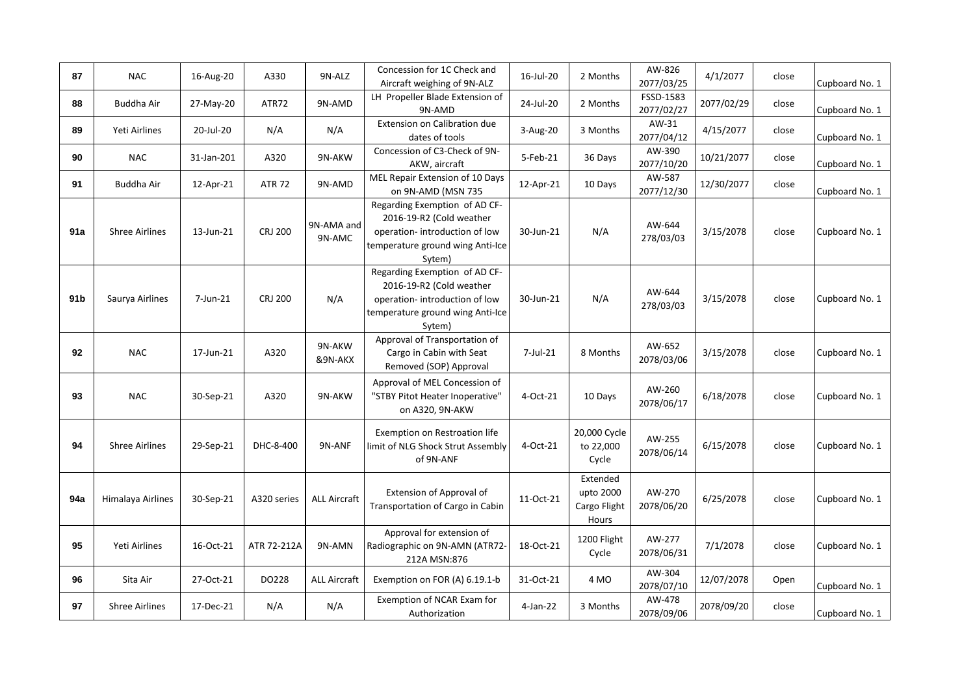| 87              | <b>NAC</b>            | 16-Aug-20  | A330           | 9N-ALZ               | Concession for 1C Check and<br>Aircraft weighing of 9N-ALZ                                                                               | 16-Jul-20 | 2 Months                                       | AW-826<br>2077/03/25    | 4/1/2077   | close | Cupboard No. 1 |
|-----------------|-----------------------|------------|----------------|----------------------|------------------------------------------------------------------------------------------------------------------------------------------|-----------|------------------------------------------------|-------------------------|------------|-------|----------------|
| 88              | Buddha Air            | 27-May-20  | ATR72          | 9N-AMD               | LH Propeller Blade Extension of<br>9N-AMD                                                                                                | 24-Jul-20 | 2 Months                                       | FSSD-1583<br>2077/02/27 | 2077/02/29 | close | Cupboard No. 1 |
| 89              | Yeti Airlines         | 20-Jul-20  | N/A            | N/A                  | Extension on Calibration due<br>dates of tools                                                                                           | 3-Aug-20  | 3 Months                                       | AW-31<br>2077/04/12     | 4/15/2077  | close | Cupboard No. 1 |
| 90              | <b>NAC</b>            | 31-Jan-201 | A320           | 9N-AKW               | Concession of C3-Check of 9N-<br>AKW, aircraft                                                                                           | 5-Feb-21  | 36 Days                                        | AW-390<br>2077/10/20    | 10/21/2077 | close | Cupboard No. 1 |
| 91              | Buddha Air            | 12-Apr-21  | <b>ATR 72</b>  | 9N-AMD               | MEL Repair Extension of 10 Days<br>on 9N-AMD (MSN 735                                                                                    | 12-Apr-21 | 10 Days                                        | AW-587<br>2077/12/30    | 12/30/2077 | close | Cupboard No. 1 |
| 91a             | <b>Shree Airlines</b> | 13-Jun-21  | <b>CRJ 200</b> | 9N-AMA and<br>9N-AMC | Regarding Exemption of AD CF-<br>2016-19-R2 (Cold weather<br>operation-introduction of low<br>temperature ground wing Anti-Ice<br>Sytem) | 30-Jun-21 | N/A                                            | AW-644<br>278/03/03     | 3/15/2078  | close | Cupboard No. 1 |
| 91 <sub>b</sub> | Saurya Airlines       | 7-Jun-21   | <b>CRJ 200</b> | N/A                  | Regarding Exemption of AD CF-<br>2016-19-R2 (Cold weather<br>operation-introduction of low<br>temperature ground wing Anti-Ice<br>Sytem) | 30-Jun-21 | N/A                                            | AW-644<br>278/03/03     | 3/15/2078  | close | Cupboard No. 1 |
| 92              | <b>NAC</b>            | 17-Jun-21  | A320           | 9N-AKW<br>&9N-AKX    | Approval of Transportation of<br>Cargo in Cabin with Seat<br>Removed (SOP) Approval                                                      | 7-Jul-21  | 8 Months                                       | AW-652<br>2078/03/06    | 3/15/2078  | close | Cupboard No. 1 |
| 93              | <b>NAC</b>            | 30-Sep-21  | A320           | 9N-AKW               | Approval of MEL Concession of<br>"STBY Pitot Heater Inoperative"<br>on A320, 9N-AKW                                                      | 4-Oct-21  | 10 Days                                        | AW-260<br>2078/06/17    | 6/18/2078  | close | Cupboard No. 1 |
| 94              | <b>Shree Airlines</b> | 29-Sep-21  | DHC-8-400      | 9N-ANF               | Exemption on Restroation life<br>limit of NLG Shock Strut Assembly<br>of 9N-ANF                                                          | 4-Oct-21  | 20,000 Cycle<br>to 22,000<br>Cycle             | AW-255<br>2078/06/14    | 6/15/2078  | close | Cupboard No. 1 |
| 94a             | Himalaya Airlines     | 30-Sep-21  | A320 series    | <b>ALL Aircraft</b>  | Extension of Approval of<br>Transportation of Cargo in Cabin                                                                             | 11-Oct-21 | Extended<br>upto 2000<br>Cargo Flight<br>Hours | AW-270<br>2078/06/20    | 6/25/2078  | close | Cupboard No. 1 |
| 95              | Yeti Airlines         | 16-Oct-21  | ATR 72-212A    | 9N-AMN               | Approval for extension of<br>Radiographic on 9N-AMN (ATR72-<br>212A MSN:876                                                              | 18-Oct-21 | 1200 Flight<br>Cycle                           | AW-277<br>2078/06/31    | 7/1/2078   | close | Cupboard No. 1 |
| 96              | Sita Air              | 27-Oct-21  | DO228          | <b>ALL Aircraft</b>  | Exemption on FOR (A) 6.19.1-b                                                                                                            | 31-Oct-21 | 4 MO                                           | AW-304<br>2078/07/10    | 12/07/2078 | Open  | Cupboard No. 1 |
| 97              | <b>Shree Airlines</b> | 17-Dec-21  | N/A            | N/A                  | Exemption of NCAR Exam for<br>Authorization                                                                                              | 4-Jan-22  | 3 Months                                       | AW-478<br>2078/09/06    | 2078/09/20 | close | Cupboard No. 1 |